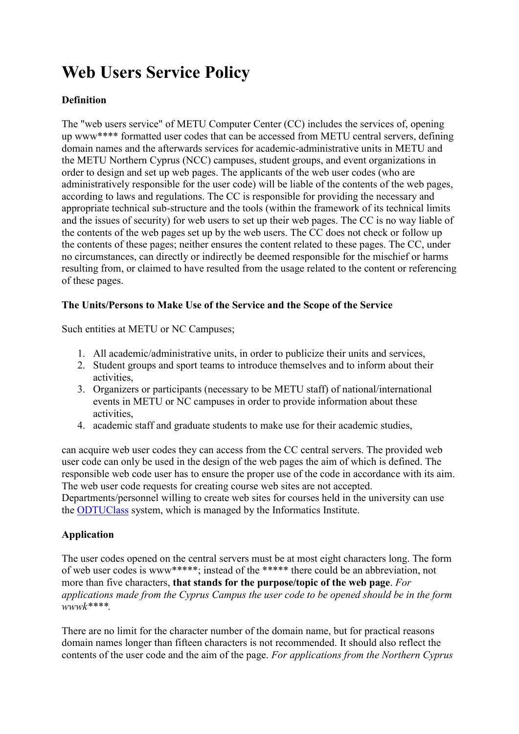# **Web Users Service Policy**

# **Definition**

The "web users service" of METU Computer Center (CC) includes the services of, opening up www\*\*\*\* formatted user codes that can be accessed from METU central servers, defining domain names and the afterwards services for academic-administrative units in METU and the METU Northern Cyprus (NCC) campuses, student groups, and event organizations in order to design and set up web pages. The applicants of the web user codes (who are administratively responsible for the user code) will be liable of the contents of the web pages, according to laws and regulations. The CC is responsible for providing the necessary and appropriate technical sub-structure and the tools (within the framework of its technical limits and the issues of security) for web users to set up their web pages. The CC is no way liable of the contents of the web pages set up by the web users. The CC does not check or follow up the contents of these pages; neither ensures the content related to these pages. The CC, under no circumstances, can directly or indirectly be deemed responsible for the mischief or harms resulting from, or claimed to have resulted from the usage related to the content or referencing of these pages.

## **The Units/Persons to Make Use of the Service and the Scope of the Service**

Such entities at METU or NC Campuses;

- 1. All academic/administrative units, in order to publicize their units and services,
- 2. Student groups and sport teams to introduce themselves and to inform about their activities,
- 3. Organizers or participants (necessary to be METU staff) of national/international events in METU or NC campuses in order to provide information about these activities,
- 4. academic staff and graduate students to make use for their academic studies,

can acquire web user codes they can access from the CC central servers. The provided web user code can only be used in the design of the web pages the aim of which is defined. The responsible web code user has to ensure the proper use of the code in accordance with its aim. The web user code requests for creating course web sites are not accepted.

Departments/personnel willing to create web sites for courses held in the university can use the [ODTUClass](https://odtuclass.metu.edu.tr/) system, which is managed by the Informatics Institute.

# **Application**

The user codes opened on the central servers must be at most eight characters long. The form of web user codes is www\*\*\*\*\*; instead of the \*\*\*\*\* there could be an abbreviation, not more than five characters, **that stands for the purpose/topic of the web page**. *For applications made from the Cyprus Campus the user code to be opened should be in the form wwwk\*\*\*\*.* 

There are no limit for the character number of the domain name, but for practical reasons domain names longer than fifteen characters is not recommended. It should also reflect the contents of the user code and the aim of the page. *For applications from the Northern Cyprus*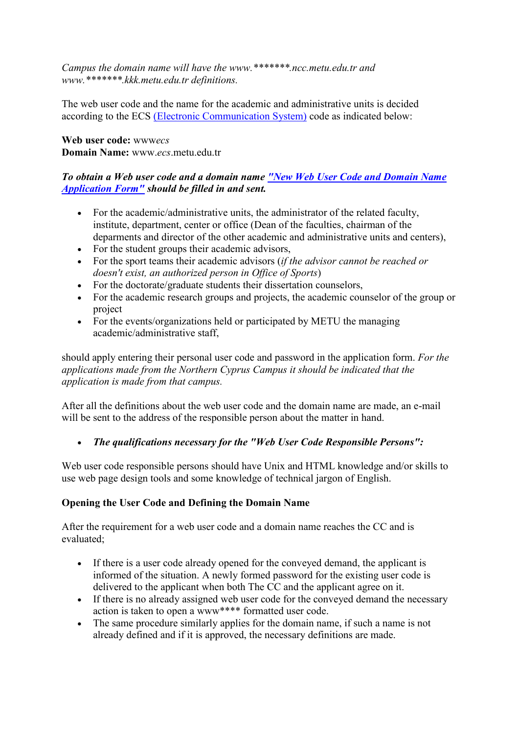*Campus the domain name will have the www.\*\*\*\*\*\*\*.ncc.metu.edu.tr and www.\*\*\*\*\*\*\*.kkk.metu.edu.tr definitions.* 

The web user code and the name for the academic and administrative units is decided according to the ECS [\(Electronic Communication System\)](http://bidb2.metu.edu.tr/275-electronic-communication-system-ecs-user-codes-list) code as indicated below:

**Web user code:** www*ecs* **Domain Name:** www.*ecs*.metu.edu.tr

## *To obtain a Web user code and a domain name ["New Web User Code and Domain Name](http://cc-form.metu.edu.tr/web)  [Application Form"](http://cc-form.metu.edu.tr/web) should be filled in and sent.*

- For the academic/administrative units, the administrator of the related faculty, institute, department, center or office (Dean of the faculties, chairman of the deparments and director of the other academic and administrative units and centers),
- For the student groups their academic advisors,
- For the sport teams their academic advisors (*if the advisor cannot be reached or doesn't exist, an authorized person in Office of Sports*)
- For the doctorate/graduate students their dissertation counselors,
- For the academic research groups and projects, the academic counselor of the group or project
- For the events/organizations held or participated by METU the managing academic/administrative staff,

should apply entering their personal user code and password in the application form. *For the applications made from the Northern Cyprus Campus it should be indicated that the application is made from that campus.* 

After all the definitions about the web user code and the domain name are made, an e-mail will be sent to the address of the responsible person about the matter in hand.

*The qualifications necessary for the "Web User Code Responsible Persons":*

Web user code responsible persons should have Unix and HTML knowledge and/or skills to use web page design tools and some knowledge of technical jargon of English.

# **Opening the User Code and Defining the Domain Name**

After the requirement for a web user code and a domain name reaches the CC and is evaluated;

- If there is a user code already opened for the conveyed demand, the applicant is informed of the situation. A newly formed password for the existing user code is delivered to the applicant when both The CC and the applicant agree on it.
- If there is no already assigned web user code for the conveyed demand the necessary action is taken to open a www\*\*\*\* formatted user code.
- The same procedure similarly applies for the domain name, if such a name is not already defined and if it is approved, the necessary definitions are made.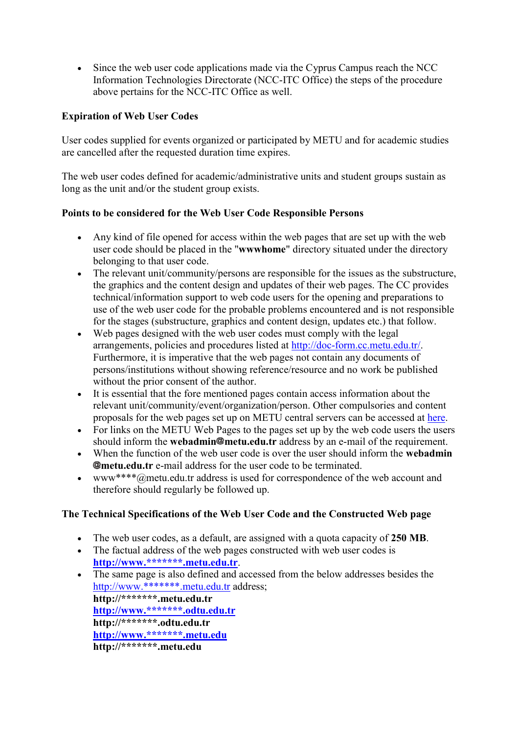Since the web user code applications made via the Cyprus Campus reach the NCC Information Technologies Directorate (NCC-ITC Office) the steps of the procedure above pertains for the NCC-ITC Office as well.

## **Expiration of Web User Codes**

User codes supplied for events organized or participated by METU and for academic studies are cancelled after the requested duration time expires.

The web user codes defined for academic/administrative units and student groups sustain as long as the unit and/or the student group exists.

#### **Points to be considered for the Web User Code Responsible Persons**

- Any kind of file opened for access within the web pages that are set up with the web user code should be placed in the "**wwwhome**" directory situated under the directory belonging to that user code.
- The relevant unit/community/persons are responsible for the issues as the substructure. the graphics and the content design and updates of their web pages. The CC provides technical/information support to web code users for the opening and preparations to use of the web user code for the probable problems encountered and is not responsible for the stages (substructure, graphics and content design, updates etc.) that follow.
- Web pages designed with the web user codes must comply with the legal arrangements, policies and procedures listed at [http://doc-form.cc.metu.edu.tr/.](http://doc-form.cc.metu.edu.tr/) Furthermore, it is imperative that the web pages not contain any documents of persons/institutions without showing reference/resource and no work be published without the prior consent of the author.
- It is essential that the fore mentioned pages contain access information about the relevant unit/community/event/organization/person. Other compulsories and content proposals for the web pages set up on METU central servers can be accessed at [here.](http://faq.cc.metu.edu.tr/faq/what-are-required-and-suggested-content-features-web-pages-academicadministrative-units-and)
- For links on the METU Web Pages to the pages set up by the web code users the users should inform the **webadmin@metu.edu.tr** address by an e-mail of the requirement.
- When the function of the web user code is over the user should inform the **webadmin metu.edu.tr** e-mail address for the user code to be terminated.
- www\*\*\*\*@metu.edu.tr address is used for correspondence of the web account and therefore should regularly be followed up.

# **The Technical Specifications of the Web User Code and the Constructed Web page**

- The web user codes, as a default, are assigned with a quota capacity of **250 MB**.
- The factual address of the web pages constructed with web user codes is **[http://www.\\*\\*\\*\\*\\*\\*\\*.metu.edu.tr](http://www.*******.metu.edu.tr/)**.
- The same page is also defined and accessed from the below addresses besides the [http://www.\\*\\*\\*\\*\\*\\*\\*.metu.edu.tr](http://www.*******.metu.edu.tr/) address;

**http://\*\*\*\*\*\*\*.metu.edu.tr [http://www.\\*\\*\\*\\*\\*\\*\\*.odtu.edu.tr](http://www.*******.odtu.edu.tr/) http://\*\*\*\*\*\*\*.odtu.edu.tr [http://www.\\*\\*\\*\\*\\*\\*\\*.metu.edu](http://www.*******.metu.edu/) http://\*\*\*\*\*\*\*.metu.edu**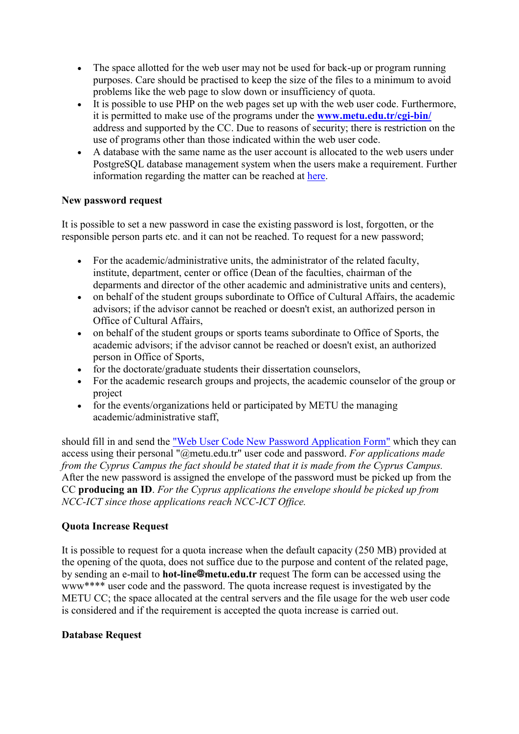- The space allotted for the web user may not be used for back-up or program running purposes. Care should be practised to keep the size of the files to a minimum to avoid problems like the web page to slow down or insufficiency of quota.
- It is possible to use PHP on the web pages set up with the web user code. Furthermore, it is permitted to make use of the programs under the **[www.metu.edu.tr/cgi-bin/](http://www.metu.edu.tr/cgi-bin/)** address and supported by the CC. Due to reasons of security; there is restriction on the use of programs other than those indicated within the web user code.
- A database with the same name as the user account is allocated to the web users under PostgreSQL database management system when the users make a requirement. Further information regarding the matter can be reached at [here.](http://bidb2.metu.edu.tr/en/web-users-service-policy#10)

#### **New password request**

It is possible to set a new password in case the existing password is lost, forgotten, or the responsible person parts etc. and it can not be reached. To request for a new password;

- For the academic/administrative units, the administrator of the related faculty, institute, department, center or office (Dean of the faculties, chairman of the deparments and director of the other academic and administrative units and centers),
- on behalf of the student groups subordinate to Office of Cultural Affairs, the academic advisors; if the advisor cannot be reached or doesn't exist, an authorized person in Office of Cultural Affairs,
- on behalf of the student groups or sports teams subordinate to Office of Sports, the academic advisors; if the advisor cannot be reached or doesn't exist, an authorized person in Office of Sports,
- for the doctorate/graduate students their dissertation counselors,
- For the academic research groups and projects, the academic counselor of the group or project
- for the events/organizations held or participated by METU the managing academic/administrative staff,

should fill in and send the ["Web User Code New Password Application Form"](http://cc-form.metu.edu.tr/web/pwd.php) which they can access using their personal "@metu.edu.tr" user code and password. *For applications made from the Cyprus Campus the fact should be stated that it is made from the Cyprus Campus.* After the new password is assigned the envelope of the password must be picked up from the CC **producing an ID**. *For the Cyprus applications the envelope should be picked up from NCC-ICT since those applications reach NCC-ICT Office.*

#### **Quota Increase Request**

It is possible to request for a quota increase when the default capacity (250 MB) provided at the opening of the quota, does not suffice due to the purpose and content of the related page, by sending an e-mail to **hot-line@metu.edu.tr** request The form can be accessed using the www\*\*\*\* user code and the password. The quota increase request is investigated by the METU CC; the space allocated at the central servers and the file usage for the web user code is considered and if the requirement is accepted the quota increase is carried out.

#### **Database Request**